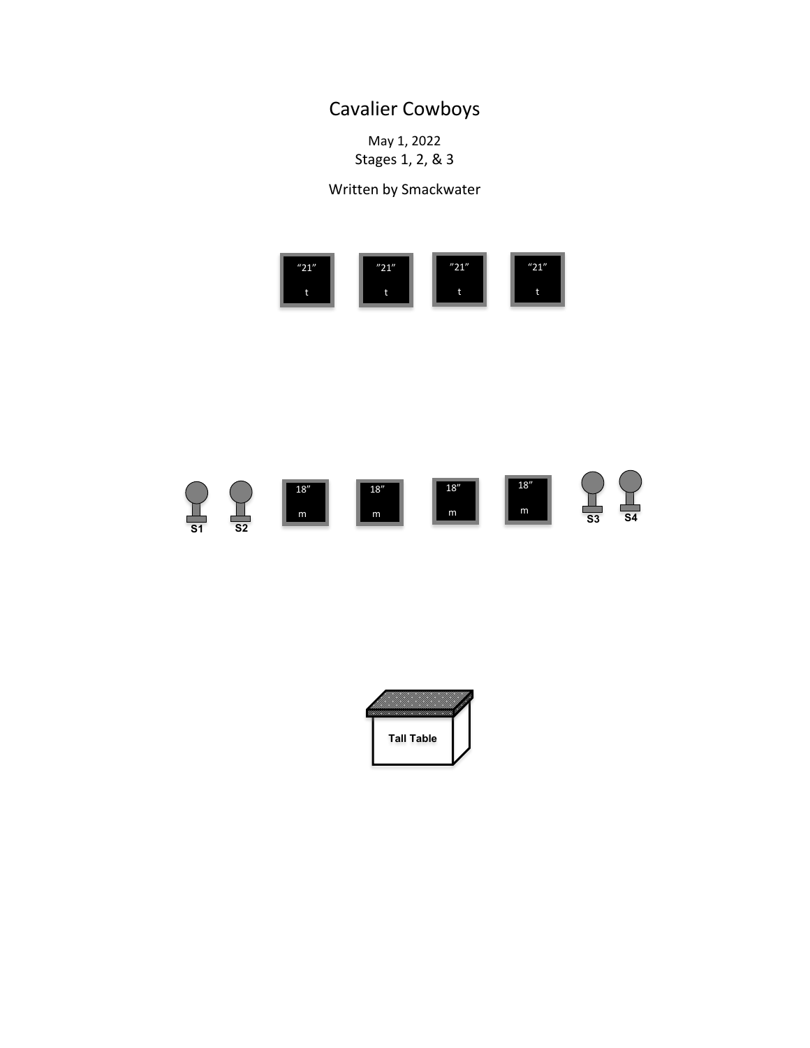## Cavalier Cowboys

May 1, 2022 Stages 1, 2, & 3

Written by Smackwater





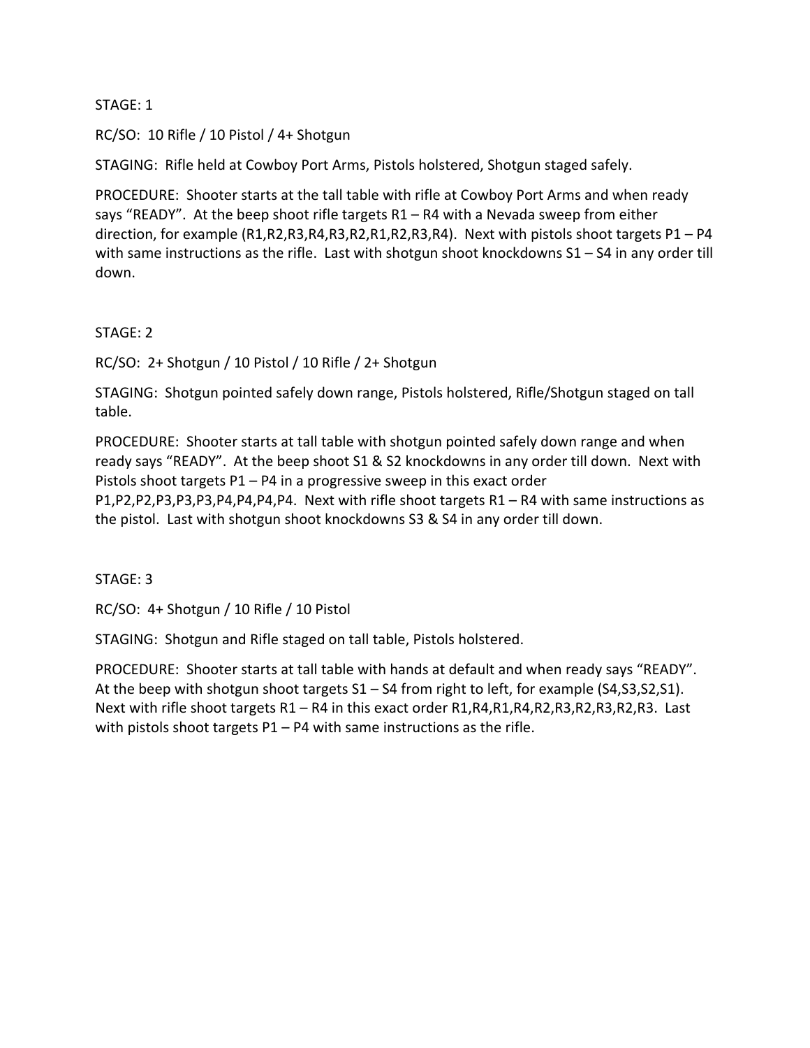## STAGE: 1

RC/SO: 10 Rifle / 10 Pistol / 4+ Shotgun

STAGING: Rifle held at Cowboy Port Arms, Pistols holstered, Shotgun staged safely.

PROCEDURE: Shooter starts at the tall table with rifle at Cowboy Port Arms and when ready says "READY". At the beep shoot rifle targets R1 – R4 with a Nevada sweep from either direction, for example (R1,R2,R3,R4,R3,R2,R1,R2,R3,R4). Next with pistols shoot targets P1 – P4 with same instructions as the rifle. Last with shotgun shoot knockdowns  $S1 - S4$  in any order till down.

STAGE: 2

RC/SO: 2+ Shotgun / 10 Pistol / 10 Rifle / 2+ Shotgun

STAGING: Shotgun pointed safely down range, Pistols holstered, Rifle/Shotgun staged on tall table.

PROCEDURE: Shooter starts at tall table with shotgun pointed safely down range and when ready says "READY". At the beep shoot S1 & S2 knockdowns in any order till down. Next with Pistols shoot targets P1 – P4 in a progressive sweep in this exact order P1,P2,P2,P3,P3,P3,P4,P4,P4,P4. Next with rifle shoot targets R1 – R4 with same instructions as the pistol. Last with shotgun shoot knockdowns S3 & S4 in any order till down.

STAGE: 3

RC/SO: 4+ Shotgun / 10 Rifle / 10 Pistol

STAGING: Shotgun and Rifle staged on tall table, Pistols holstered.

PROCEDURE: Shooter starts at tall table with hands at default and when ready says "READY". At the beep with shotgun shoot targets S1 – S4 from right to left, for example (S4,S3,S2,S1). Next with rifle shoot targets R1 – R4 in this exact order R1, R4, R1, R4, R2, R3, R2, R3, R2, R3. Last with pistols shoot targets P1 – P4 with same instructions as the rifle.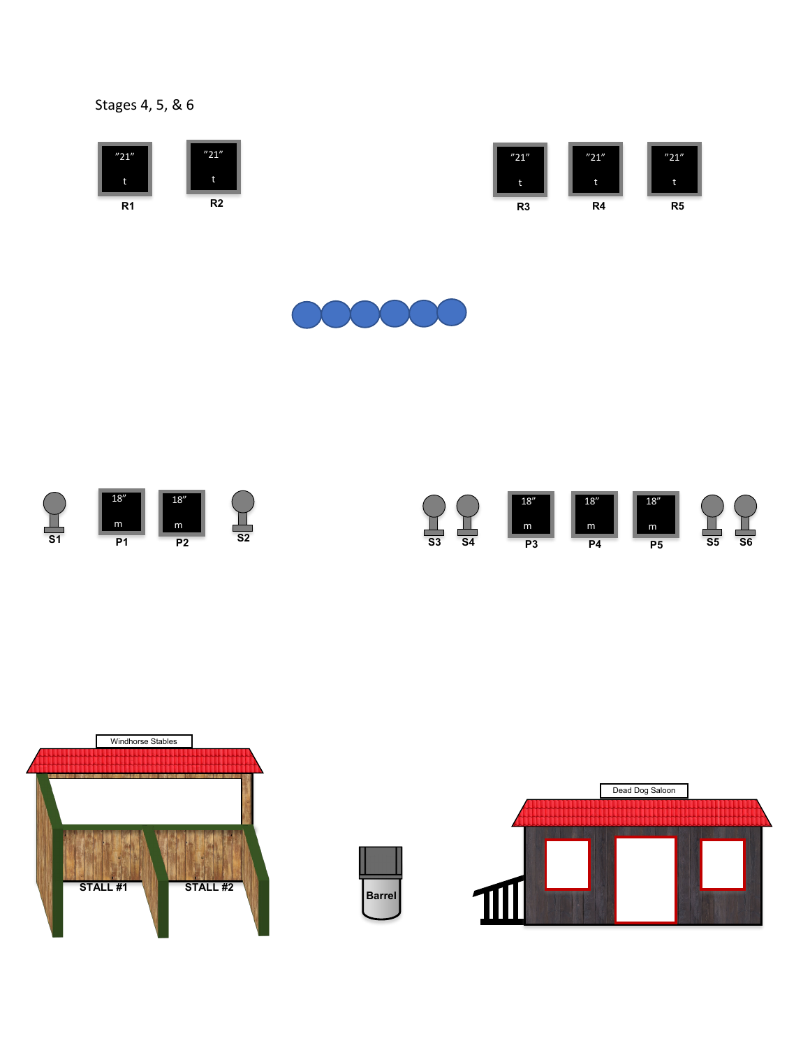## Stages 4, 5, & 6